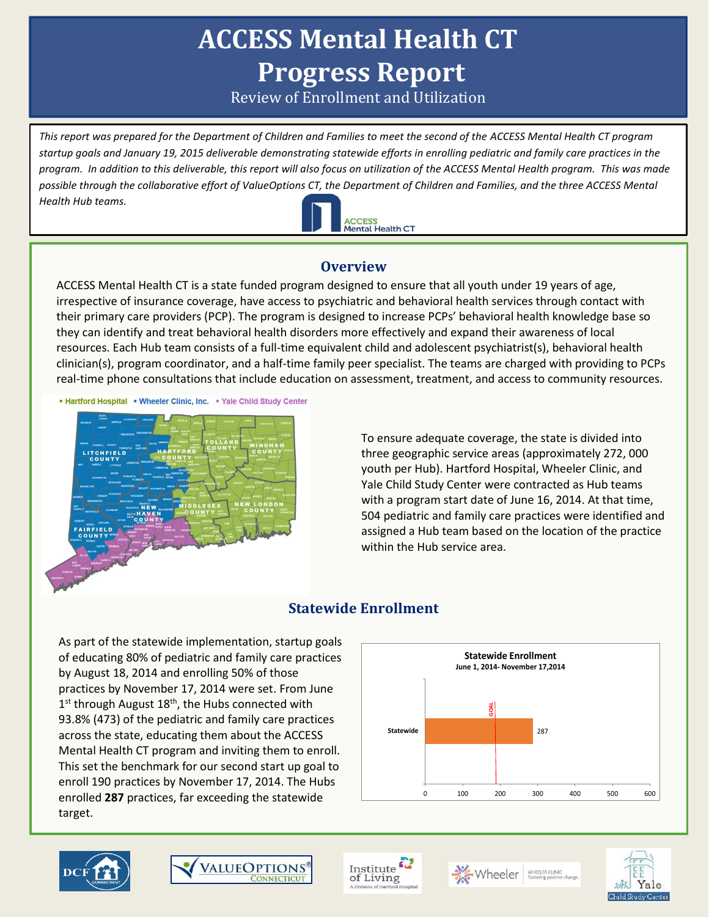# **ACCESS Mental Health CT Progress Report**

Review of Enrollment and Utilization

*This report was prepared for the Department of Children and Families to meet the second of the ACCESS Mental Health CT program startup goals and January 19, 2015 deliverable demonstrating statewide efforts in enrolling pediatric and family care practices in the program. In addition to this deliverable, this report will also focus on utilization of the ACCESS Mental Health program. This was made possible through the collaborative effort of ValueOptions CT, the Department of Children and Families, and the three ACCESS Mental Health Hub teams.* 



## **Overview**

ACCESS Mental Health CT is a state funded program designed to ensure that all youth under 19 years of age, irrespective of insurance coverage, have access to psychiatric and behavioral health services through contact with their primary care providers (PCP). The program is designed to increase PCPs' behavioral health knowledge base so they can identify and treat behavioral health disorders more effectively and expand their awareness of local resources. Each Hub team consists of a full-time equivalent child and adolescent psychiatrist(s), behavioral health clinician(s), program coordinator, and a half-time family peer specialist. The teams are charged with providing to PCPs real-time phone consultations that include education on assessment, treatment, and access to community resources.

• Hartford Hospital • Wheeler Clinic, Inc. • Yale Child Study Center



To ensure adequate coverage, the state is divided into three geographic service areas (approximately 272, 000 youth per Hub). Hartford Hospital, Wheeler Clinic, and Yale Child Study Center were contracted as Hub teams with a program start date of June 16, 2014. At that time, 504 pediatric and family care practices were identified and assigned a Hub team based on the location of the practice within the Hub service area.

# **Statewide Enrollment**

As part of the statewide implementation, startup goals of educating 80% of pediatric and family care practices by August 18, 2014 and enrolling 50% of those practices by November 17, 2014 were set. From June 1<sup>st</sup> through August 18<sup>th</sup>, the Hubs connected with 93.8% (473) of the pediatric and family care practices across the state, educating them about the ACCESS Mental Health CT program and inviting them to enroll. This set the benchmark for our second start up goal to enroll 190 practices by November 17, 2014. The Hubs enrolled **287** practices, far exceeding the statewide target.



![](_page_0_Picture_12.jpeg)

![](_page_0_Picture_13.jpeg)

Institute of Living

![](_page_0_Picture_15.jpeg)

![](_page_0_Picture_17.jpeg)